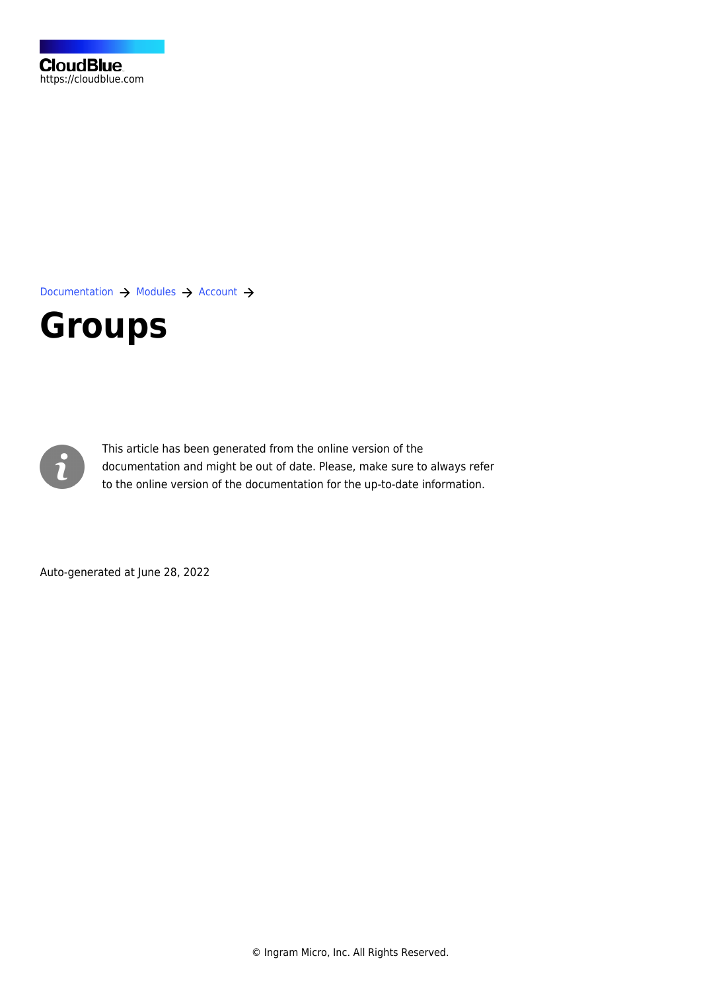[Documentation](https://connect.cloudblue.com/documentation)  $\rightarrow$  [Modules](https://connect.cloudblue.com/community/modules/)  $\rightarrow$  [Account](https://connect.cloudblue.com/community/modules/account/)  $\rightarrow$ 

# **[Groups](https://connect.cloudblue.com/community/modules/account/groups/)**



This article has been generated from the online version of the documentation and might be out of date. Please, make sure to always refer to the online version of the documentation for the up-to-date information.

Auto-generated at June 28, 2022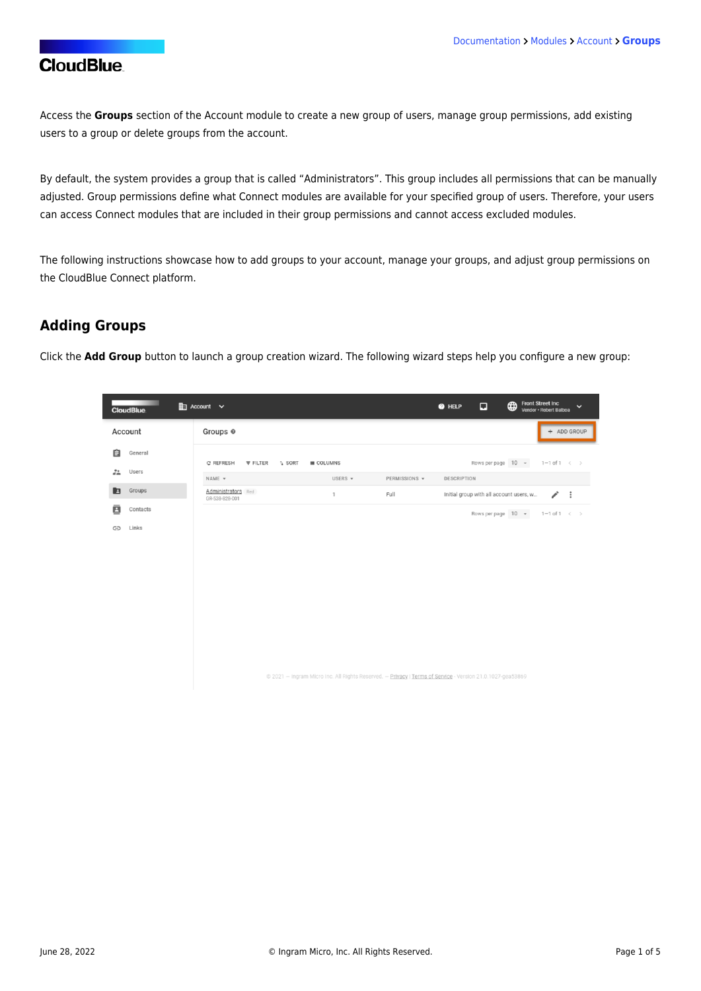Access the **Groups** section of the Account module to create a new group of users, manage group permissions, add existing users to a group or delete groups from the account.

By default, the system provides a group that is called "Administrators". This group includes all permissions that can be manually adjusted. Group permissions define what Connect modules are available for your specified group of users. Therefore, your users can access Connect modules that are included in their group permissions and cannot access excluded modules.

The following instructions showcase how to add groups to your account, manage your groups, and adjust group permissions on the CloudBlue Connect platform.

#### **Adding Groups**

Click the **Add Group** button to launch a group creation wizard. The following wizard steps help you configure a new group:

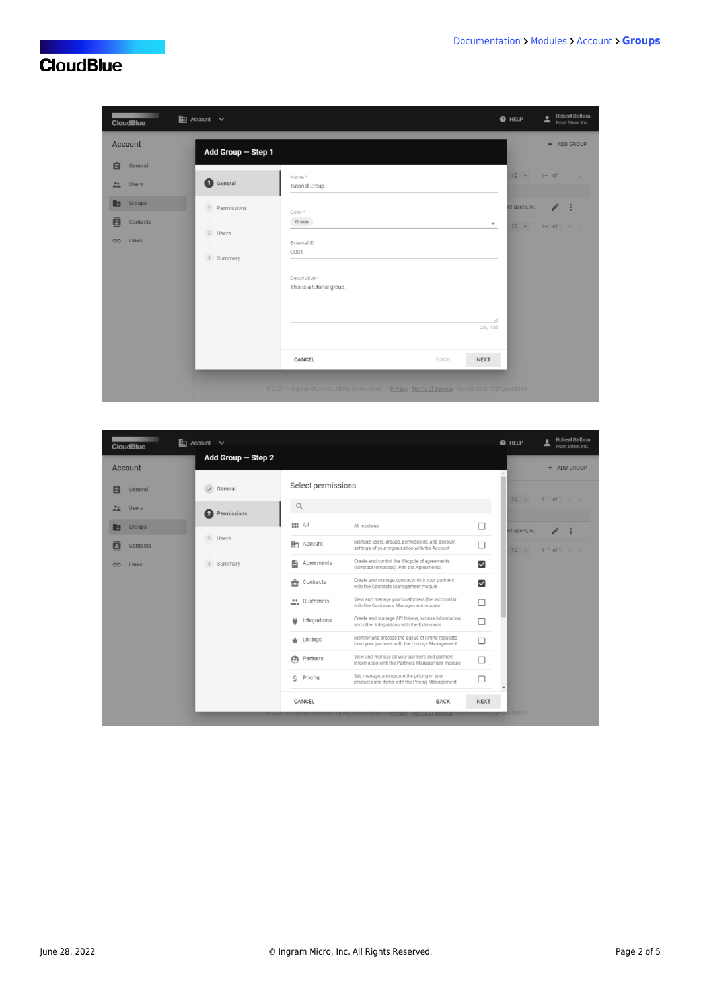| <b>CloudBlue</b>                                                                 | $\mathbb{E}$ Account $\vee$                                         |                                                                                                                        | Robert Balboa<br>Robert Bond<br>Front Street Inc.<br><b>O</b> HELP                                                                 |
|----------------------------------------------------------------------------------|---------------------------------------------------------------------|------------------------------------------------------------------------------------------------------------------------|------------------------------------------------------------------------------------------------------------------------------------|
| Account                                                                          | Add Group - Step 1                                                  |                                                                                                                        | + ADD GROUP                                                                                                                        |
| 自<br>General<br>22<br><b>Users</b><br>Groups<br>▣<br>ā<br>Contacts<br>Links<br>G | General<br>$\overline{2}$<br>Permissions<br>3<br>Users<br>4 Summary | Name*<br><b>Tutorial Group</b><br>Color*<br>Green<br>External ID<br>G001<br>Description *<br>This is a tutorial group. | $10 -$<br>$1 - 1$ of $1 \leq$<br>$\mathcal{E}$ :<br>nt users, w<br>$\overline{\phantom{a}}$<br>$10 - 7$<br>$1-1$ of $1 \leftarrow$ |
|                                                                                  |                                                                     |                                                                                                                        | 4<br>25/156                                                                                                                        |
|                                                                                  |                                                                     | CANCEL<br>BACK                                                                                                         | <b>NEXT</b>                                                                                                                        |
|                                                                                  |                                                                     | @ 2021 - Ingram Micro Inc. All Rights Reserved. - Privacy   Terms of Service - Version 21.0.1027-gea53869              |                                                                                                                                    |

| <b>CloudBlue</b>           | $\mathbb{E}$ Account $\vee$ |                                   |                                                                                                      |                         | <b>O</b> HELP | Robert Balboa<br>٠<br>∸<br>Front Street Inc. |
|----------------------------|-----------------------------|-----------------------------------|------------------------------------------------------------------------------------------------------|-------------------------|---------------|----------------------------------------------|
| <b>Account</b>             | Add Group $-$ Step 2        |                                   |                                                                                                      |                         |               | + ADD GROUP                                  |
| E<br>General               | General<br>$\checkmark$     | Select permissions                |                                                                                                      |                         |               |                                              |
| 22<br><b>Users</b>         | 2<br>Permissions            | $\mathsf{Q}$                      |                                                                                                      |                         | $10 -$        | $1 - 1$ of $1 \leftarrow \rightarrow$        |
| Groups                     |                             | Ⅲ All                             | All modules                                                                                          | □                       | nt users, w   |                                              |
| $\blacksquare$<br>Contacts | 3<br><b>Users</b>           | ⊪<br>Account                      | Manage users, groups, permissions, and account<br>settings of your organization with the Account     | □                       | $10 -$        | $1-1$ of $1 \leq$                            |
| Links<br>⊕                 | Summary<br>4                | 自<br>Agreements                   | Create and control the lifecycle of agreements<br>(contract templates) with the Agreements           | $\overline{\mathsf{S}}$ |               |                                              |
|                            |                             | ÷<br>Contracts                    | Create and manage contracts with your partners<br>with the Contracts Management module               | $\blacktriangleright$   |               |                                              |
|                            |                             | es Customers                      | View and manage your customers (tier accounts)<br>with the Customers Management module               | П                       |               |                                              |
|                            |                             | Integrations                      | Create and manage API tokens, access information,<br>and other integrations with the Extensions      | □                       |               |                                              |
|                            |                             | $\leftarrow$ Listings             | Monitor and process the queue of listing requests<br>from your partners with the Listings Management | □                       |               |                                              |
|                            |                             | $\boldsymbol{\varpi}$<br>Partners | View and manage all your partners and partners<br>information with the Partners Management module    | □                       |               |                                              |
|                            |                             | Ŝ<br>Pricing                      | Set, manage, and update the pricing of your<br>products and items with the Pricing Management        | Г                       |               |                                              |
|                            |                             | CANCEL                            | <b>BACK</b>                                                                                          | <b>NEXT</b>             |               |                                              |
|                            |                             |                                   | <b>PIIVACY LEITIS</b>                                                                                |                         | zr-gea53869   |                                              |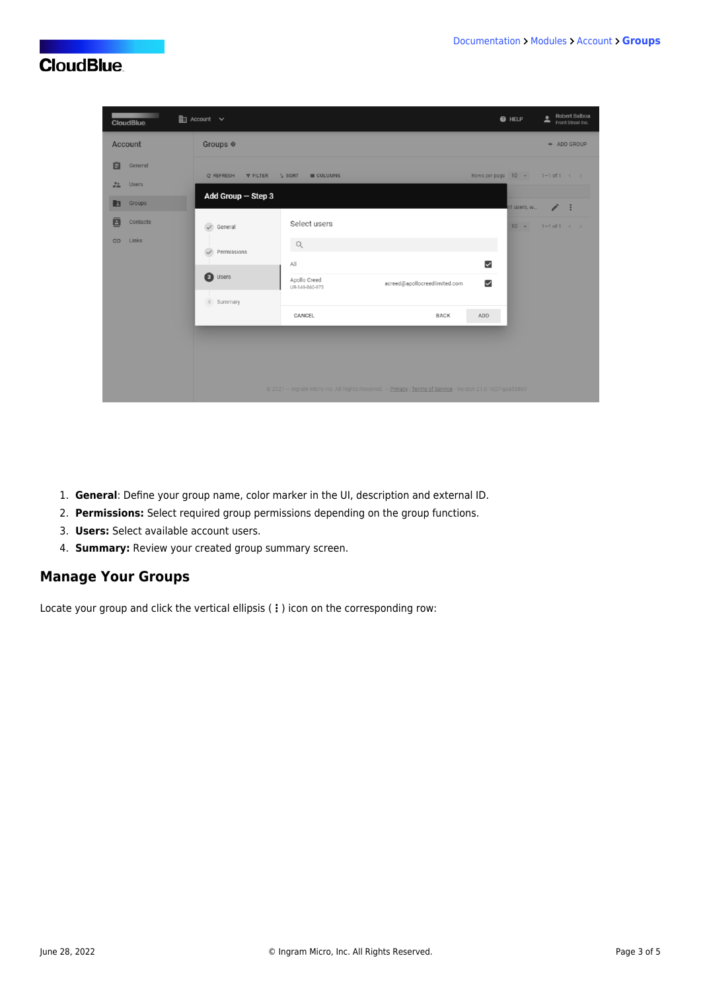| <b>CloudBlue</b>                   | <b>图</b> Account ∨                               |                                                                                                           | $\overline{\phantom{a}}$<br><b>O</b> HELP            | Robert Balboa<br>Front Street Inc. |
|------------------------------------|--------------------------------------------------|-----------------------------------------------------------------------------------------------------------|------------------------------------------------------|------------------------------------|
| Account                            | Groups <sup>®</sup>                              |                                                                                                           |                                                      | + ADD GROUP                        |
| 自<br>General<br>22<br><b>Users</b> | C REFRESH<br><b>FILTER</b><br>$\frac{1}{4}$ SORT | <b>III</b> COLUMNS                                                                                        | Rows per page $10 \rightarrow 1-1$ of $1 \leftarrow$ |                                    |
| Groups<br>E                        | Add Group - Step 3                               |                                                                                                           | nt users, w                                          | $\mathcal{S}$ :                    |
| 画<br>Contacts                      | $\checkmark$ General                             | Select users                                                                                              | $10 -$                                               | $1 - 1$ of $1 \leftarrow$          |
| Links<br>$\bigoplus$               | $\alpha$<br>Permissions<br>$\checkmark$          |                                                                                                           |                                                      |                                    |
|                                    | All<br>3 Users<br>Apollo Creed                   |                                                                                                           | $\checkmark$                                         |                                    |
|                                    | UR-149-860-973<br>4 Summary                      | acreed@apollocreedlimited.com                                                                             | $\overline{\mathbf{v}}$                              |                                    |
|                                    | CANCEL                                           | <b>BACK</b>                                                                                               | ADD                                                  |                                    |
|                                    |                                                  |                                                                                                           |                                                      |                                    |
|                                    |                                                  |                                                                                                           |                                                      |                                    |
|                                    |                                                  | @ 2021 - Ingram Micro Inc. All Rights Reserved. - Privacy   Terms of Service - Version 21.0.1027-gea53869 |                                                      |                                    |

- 1. **General**: Define your group name, color marker in the UI, description and external ID.
- 2. **Permissions:** Select required group permissions depending on the group functions.
- 3. **Users:** Select available account users.
- 4. **Summary:** Review your created group summary screen.

### **Manage Your Groups**

Locate your group and click the vertical ellipsis (**⋮**) icon on the corresponding row: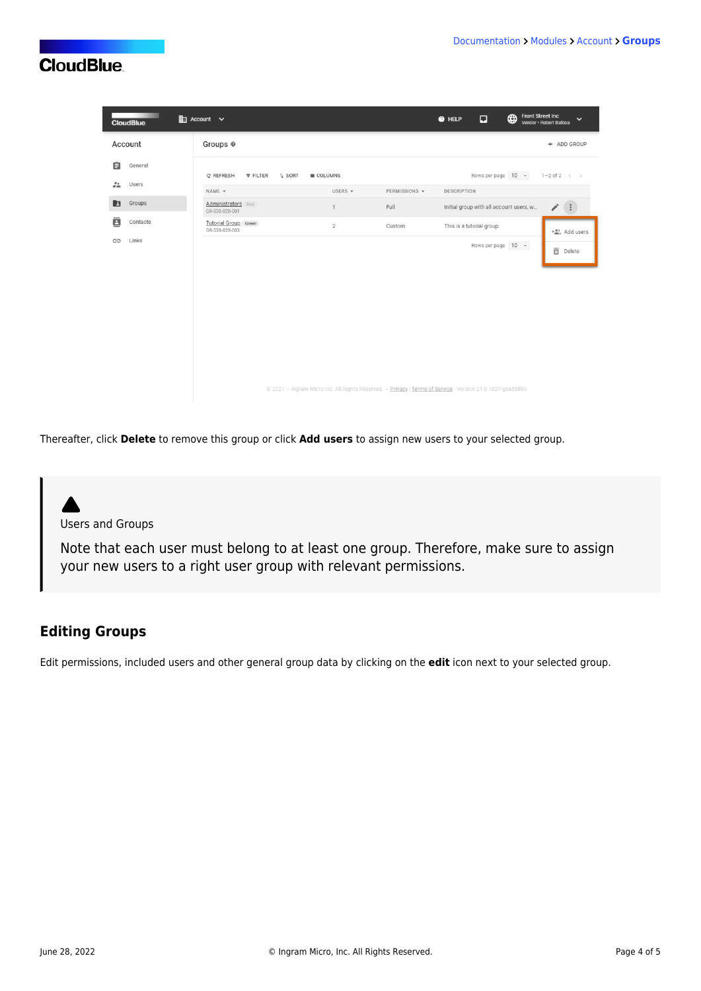|                  | <b>CloudBlue</b> | $\mathop{\mathrm{Im}}$ Account $\mathop{\mathsf{v}}$ |                    |                    |               | $\Box$<br>$\bullet$ HELP                                                                                  | <b>Front Street Inc</b><br>⊕<br>$\checkmark$<br>Vendor · Robert Balboa |
|------------------|------------------|------------------------------------------------------|--------------------|--------------------|---------------|-----------------------------------------------------------------------------------------------------------|------------------------------------------------------------------------|
|                  | Account          | Groups @                                             |                    |                    |               |                                                                                                           | + ADD GROUP                                                            |
| 自                | General          | C REFRESH<br><b>FILTER</b>                           | $\frac{1}{4}$ SORT | <b>III</b> COLUMNS |               | Rows per page 10 -                                                                                        | $1-2$ of $2 \leq$                                                      |
| $\frac{22}{100}$ | Users            | NAME -                                               |                    | USERS $\sim$       | PERMISSIONS - | DESCRIPTION                                                                                               |                                                                        |
| E                | Groups           | Administrators Red<br>GR-538-828-001                 |                    | $\mathbf{1}$       | Full          | Initial group with all account users, w                                                                   | $\left( \begin{array}{c} \vdots \end{array} \right)$<br>i              |
| ē                | Contacts         | <b>Tutorial Group</b> Green<br>GR-538-828-003        |                    | $\sqrt{2}$         | Custom        | This is a tutorial group.                                                                                 | $+\frac{63}{201}$ , Add users                                          |
| ⊖                | Links            |                                                      |                    |                    |               | Rows per page 10 -                                                                                        | 面<br>Delete                                                            |
|                  |                  |                                                      |                    |                    |               |                                                                                                           |                                                                        |
|                  |                  |                                                      |                    |                    |               |                                                                                                           |                                                                        |
|                  |                  |                                                      |                    |                    |               |                                                                                                           |                                                                        |
|                  |                  |                                                      |                    |                    |               |                                                                                                           |                                                                        |
|                  |                  |                                                      |                    |                    |               | @ 2021 - Ingram Micro Inc. All Rights Reserved. - Privacy   Terms of Service - Version 21.0.1027-gea53869 |                                                                        |

Thereafter, click **Delete** to remove this group or click **Add users** to assign new users to your selected group.

Users and Groups

Note that each user must belong to at least one group. Therefore, make sure to assign your new users to a right user group with relevant permissions.

#### **Editing Groups**

Edit permissions, included users and other general group data by clicking on the **edit** icon next to your selected group.